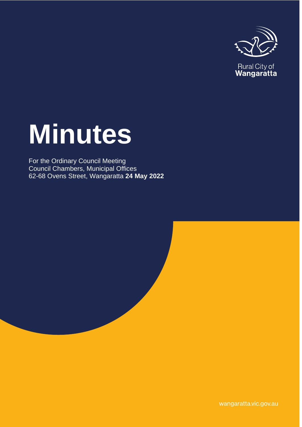

Rural City of<br>**Wangaratta** 

# **Minutes**

For the Ordinary Council Meeting Council Chambers, Municipal Offices 62-68 Ovens Street, Wangaratta **24 May 2022**

wangaratta.vic.gov.au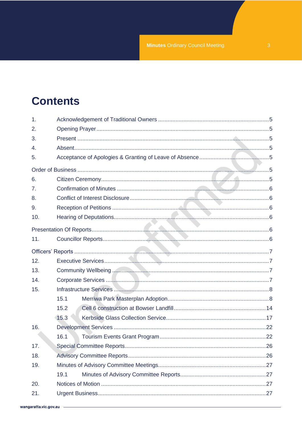# **Contents**

| 1.             |      |  |
|----------------|------|--|
| 2.             |      |  |
| 3.             |      |  |
| 4.             |      |  |
| 5.             |      |  |
|                |      |  |
| 6.             |      |  |
| 7 <sub>1</sub> |      |  |
| 8.             |      |  |
| 9.             |      |  |
| 10.            |      |  |
|                |      |  |
| 11.            |      |  |
|                |      |  |
| 12.            |      |  |
| 13.            |      |  |
| 14.            |      |  |
| 15.            |      |  |
|                | 15.1 |  |
|                | 15.2 |  |
|                | 15.3 |  |
| 16.            |      |  |
|                | 16.1 |  |
| 17.            |      |  |
| 18.            |      |  |
| 19.            |      |  |
|                | 19.1 |  |
| 20.            |      |  |
| 21.            |      |  |
|                |      |  |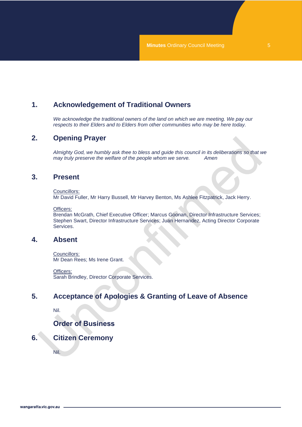# <span id="page-4-0"></span>**1. Acknowledgement of Traditional Owners**

*We acknowledge the traditional owners of the land on which we are meeting. We pay our respects to their Elders and to Elders from other communities who may be here today.*

## <span id="page-4-1"></span>**2. Opening Prayer**

*Almighty God, we humbly ask thee to bless and guide this council in its deliberations so that we may truly preserve the welfare of the people whom we serve. Amen*

## <span id="page-4-2"></span>**3. Present**

Councillors:

Mr David Fuller, Mr Harry Bussell, Mr Harvey Benton, Ms Ashlee Fitzpatrick, Jack Herry.

Officers:

Brendan McGrath, Chief Executive Officer; Marcus Goonan, Director Infrastructure Services; Stephen Swart, Director Infrastructure Services; Juan Hernandez, Acting Director Corporate Services.

### <span id="page-4-3"></span>**4. Absent**

Councillors: Mr Dean Rees; Ms Irene Grant.

Officers: Sarah Brindley, Director Corporate Services.

# <span id="page-4-4"></span>**5. Acceptance of Apologies & Granting of Leave of Absence**

Nil.

# **Order of Business**

## <span id="page-4-6"></span><span id="page-4-5"></span>**6. Citizen Ceremony**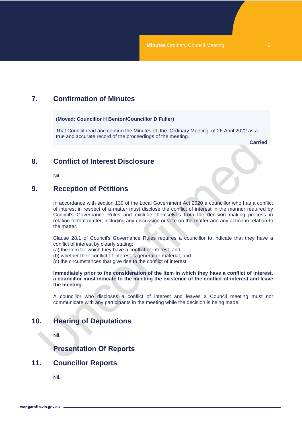# <span id="page-5-0"></span>**7. Confirmation of Minutes**

**(Moved: Councillor H Benton/Councillor D Fuller)** 

That Council read and confirm the Minutes of the Ordinary Meeting of 26 April 2022 as a true and accurate record of the proceedings of the meeting.

**Carried**

## <span id="page-5-1"></span>**8. Conflict of Interest Disclosure**

Nil.

## <span id="page-5-2"></span>**9. Reception of Petitions**

In accordance with section 130 of the Local Government Act 2020 a councillor who has a conflict of interest in respect of a matter must disclose the conflict of interest in the manner required by Council's Governance Rules and exclude themselves from the decision making process in relation to that matter, including any discussion or vote on the matter and any action in relation to the matter.

Clause 28.1 of Council's Governance Rules requires a councillor to indicate that they have a conflict of interest by clearly stating:

(a) the item for which they have a conflict of interest; and

(b) whether their conflict of interest is general or material; and

(c) the circumstances that give rise to the conflict of interest.

**Immediately prior to the consideration of the item in which they have a conflict of interest, a councillor must indicate to the meeting the existence of the conflict of interest and leave the meeting.**

A councillor who discloses a conflict of interest and leaves a Council meeting must not communicate with any participants in the meeting while the decision is being made.

# <span id="page-5-3"></span>**10. Hearing of Deputations**

Nil.

# **Presentation Of Reports**

## <span id="page-5-5"></span><span id="page-5-4"></span>**11. Councillor Reports**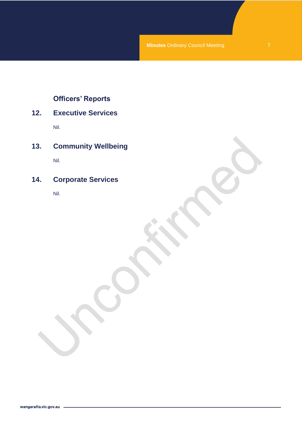# **Officers' Reports**

# <span id="page-6-1"></span><span id="page-6-0"></span>**12. Executive Services**

Nil.

<span id="page-6-2"></span>**13. Community Wellbeing**

Nil.

# <span id="page-6-3"></span>**14. Corporate Services**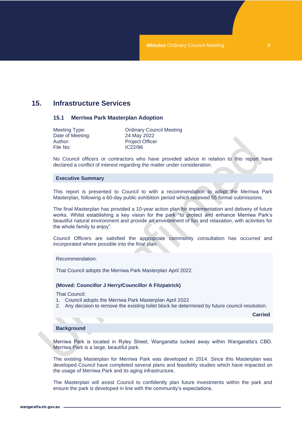# <span id="page-7-1"></span><span id="page-7-0"></span>**15. Infrastructure Services**

#### **15.1 Merriwa Park Masterplan Adoption**

| Meeting Type:    |  |
|------------------|--|
| Date of Meeting: |  |
| Author:          |  |
| File No:         |  |

**Ordinary Council Meeting** 24 May 2022 Project Officer IC22/96

No Council officers or contractors who have provided advice in relation to this report have declared a conflict of interest regarding the matter under consideration.

#### **Executive Summary**

This report is presented to Council to with a recommendation to adopt the Merriwa Park Masterplan, following a 60-day public exhibition period which received 55 formal submissions.

The final Masterplan has provided a 10-year action plan for implementation and delivery of future works. Whilst establishing a key vision for the park "to protect and enhance Merriwa Park's beautiful natural environment and provide an environment of fun and relaxation, with activities for the whole family to enjoy".

Council Officers are satisfied the appropriate community consultation has occurred and incorporated where possible into the final plan.

Recommendation:

That Council adopts the Merriwa Park Masterplan April 2022.

#### **(Moved: Councillor J Herry/Councillor A Fitzpatrick)**

That Council:

- 1. Council adopts the Merriwa Park Masterplan April 2022
- 2. Any decision to remove the existing toilet block be determined by future council resolution.

**Carried**

#### **Background**

Merriwa Park is located in Ryley Street, Wangaratta tucked away within Wangaratta's CBD. Merriwa Park is a large, beautiful park.

The existing Masterplan for Merriwa Park was developed in 2014. Since this Masterplan was developed Council have completed several plans and feasibility studies which have impacted on the usage of Merriwa Park and its aging infrastructure.

The Masterplan will assist Council to confidently plan future investments within the park and ensure the park is developed in line with the community's expectations.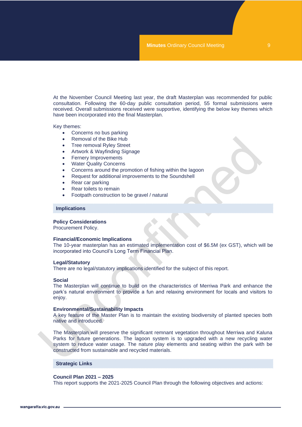At the November Council Meeting last year, the draft Masterplan was recommended for public consultation. Following the 60-day public consultation period, 55 formal submissions were received. Overall submissions received were supportive, identifying the below key themes which have been incorporated into the final Masterplan.

Key themes:

- Concerns no bus parking
- Removal of the Bike Hub
- Tree removal Ryley Street
- Artwork & Wayfinding Signage
- Fernery Improvements
- Water Quality Concerns
- Concerns around the promotion of fishing within the lagoon
- Request for additional improvements to the Soundshell
- Rear car parking
- Rear toilets to remain
- Footpath construction to be gravel / natural

#### **Implications**

#### **Policy Considerations**

Procurement Policy.

#### **Financial/Economic Implications**

The 10-year masterplan has an estimated implementation cost of \$6.5M (ex GST), which will be incorporated into Council's Long Term Financial Plan.

#### **Legal/Statutory**

There are no legal/statutory implications identified for the subject of this report.

#### **Social**

The Masterplan will continue to build on the characteristics of Merriwa Park and enhance the park's natural environment to provide a fun and relaxing environment for locals and visitors to enjoy.

#### **Environmental/Sustainability Impacts**

A key feature of the Master Plan is to maintain the existing biodiversity of planted species both native and introduced.

The Masterplan will preserve the significant remnant vegetation throughout Merriwa and Kaluna Parks for future generations. The lagoon system is to upgraded with a new recycling water system to reduce water usage. The nature play elements and seating within the park with be constructed from sustainable and recycled materials.

#### **Strategic Links**

#### **Council Plan 2021 – 2025**

This report supports the 2021-2025 Council Plan through the following objectives and actions: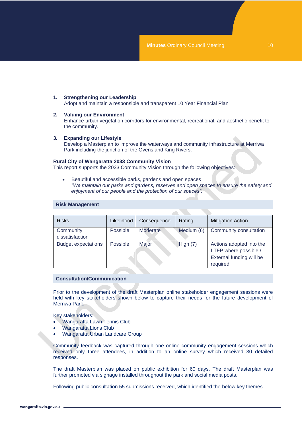#### **1. Strengthening our Leadership**  Adopt and maintain a responsible and transparent 10 Year Financial Plan

#### **2. Valuing our Environment**

Enhance urban vegetation corridors for environmental, recreational, and aesthetic benefit to the community.

#### **3. Expanding our Lifestyle**

Develop a Masterplan to improve the waterways and community infrastructure at Merriwa Park including the junction of the Ovens and King Rivers.

#### **Rural City of Wangaratta 2033 Community Vision**

This report supports the 2033 Community Vision through the following objectives:

Beautiful and accessible parks, gardens and open spaces *"We maintain our parks and gardens, reserves and open spaces to ensure the safety and enjoyment of our people and the protection of our spaces".*

| <b>Risks</b>                 | Likelihood | Consequence     | Rating     | <b>Mitigation Action</b>                                                                   |
|------------------------------|------------|-----------------|------------|--------------------------------------------------------------------------------------------|
| Community<br>dissatisfaction | Possible   | <b>Moderate</b> | Medium (6) | Community consultation                                                                     |
| <b>Budget expectations</b>   | Possible   | Major           | High (7)   | Actions adopted into the<br>LTFP where possible /<br>External funding will be<br>required. |

#### **Risk Management**

#### **Consultation/Communication**

Prior to the development of the draft Masterplan online stakeholder engagement sessions were held with key stakeholders shown below to capture their needs for the future development of Merriwa Park.

Key stakeholders:

- Wangaratta Lawn Tennis Club
- Wangaratta Lions Club
- Wangaratta Urban Landcare Group

Community feedback was captured through one online community engagement sessions which received only three attendees, in addition to an online survey which received 30 detailed responses.

The draft Masterplan was placed on public exhibition for 60 days. The draft Masterplan was further promoted via signage installed throughout the park and social media posts.

Following public consultation 55 submissions received, which identified the below key themes.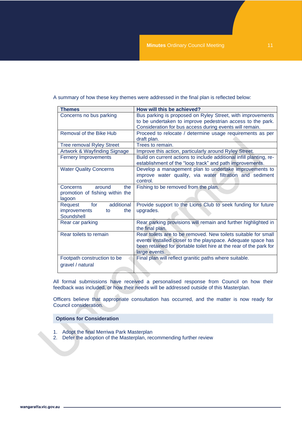|  | A summary of how these key themes were addressed in the final plan is reflected below: |
|--|----------------------------------------------------------------------------------------|
|--|----------------------------------------------------------------------------------------|

| <b>Themes</b>                    | How will this be achieved?                                          |  |  |
|----------------------------------|---------------------------------------------------------------------|--|--|
| Concerns no bus parking          | Bus parking is proposed on Ryley Street, with improvements          |  |  |
|                                  | to be undertaken to improve pedestrian access to the park.          |  |  |
|                                  | Consideration for bus access during events will remain.             |  |  |
| Removal of the Bike Hub          | Proceed to relocate / determine usage requirements as per           |  |  |
|                                  | draft plan.                                                         |  |  |
| <b>Tree removal Ryley Street</b> | Trees to remain.                                                    |  |  |
| Artwork & Wayfinding Signage     | Improve this action, particularly around Ryley Street.              |  |  |
| <b>Fernery Improvements</b>      | Build on current actions to include additional infill planting, re- |  |  |
|                                  | establishment of the "loop track" and path improvements.            |  |  |
| <b>Water Quality Concerns</b>    | Develop a management plan to undertake improvements to              |  |  |
|                                  | improve water quality, via water filtration and sediment            |  |  |
|                                  | control.                                                            |  |  |
| the<br><b>Concerns</b><br>around | Fishing to be removed from the plan.                                |  |  |
| promotion of fishing within the  |                                                                     |  |  |
| lagoon                           |                                                                     |  |  |
| additional<br>for<br>Request     | Provide support to the Lions Club to seek funding for future        |  |  |
| improvements<br>the<br>to        | upgrades.                                                           |  |  |
| Soundshell                       |                                                                     |  |  |
| Rear car parking                 | Rear parking provisions will remain and further highlighted in      |  |  |
|                                  | the final plan.                                                     |  |  |
| Rear toilets to remain           | Rear toilets are to be removed. New toilets suitable for small      |  |  |
|                                  | events installed closer to the playspace. Adequate space has        |  |  |
|                                  | been retained for portable toilet hire at the rear of the park for  |  |  |
|                                  | large events.                                                       |  |  |
| Footpath construction to be      | Final plan will reflect granitic paths where suitable.              |  |  |
| gravel / natural                 |                                                                     |  |  |
|                                  |                                                                     |  |  |

All formal submissions have received a personalised response from Council on how their feedback was included, or how their needs will be addressed outside of this Masterplan.

Officers believe that appropriate consultation has occurred, and the matter is now ready for Council consideration.

#### **Options for Consideration**

- 1. Adopt the final Merriwa Park Masterplan
- 2. Defer the adoption of the Masterplan, recommending further review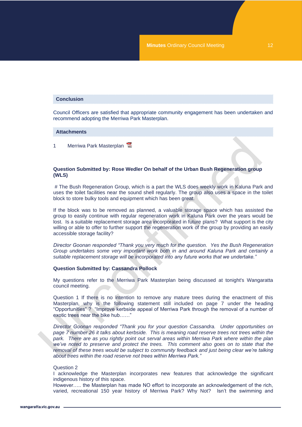#### **Conclusion**

Council Officers are satisfied that appropriate community engagement has been undertaken and recommend adopting the Merriwa Park Masterplan.

#### **Attachments**

1 Merriwa Park Masterplan

#### **Question Submitted by: Rose Wedler On behalf of the Urban Bush Regeneration group (WLS)**

# The Bush Regeneration Group, which is a part the WLS does weekly work in Kaluna Park and uses the toilet facilities near the sound shell regularly. The group also uses a space in the toilet block to store bulky tools and equipment which has been great.

If the block was to be removed as planned, a valuable storage space which has assisted the group to easily continue with regular regeneration work in Kaluna Park over the years would be lost. Is a suitable replacement storage area incorporated in future plans? What support is the city willing or able to offer to further support the regeneration work of the group by providing an easily accessible storage facility?

*Director Goonan responded "Thank you very much for the question. Yes the Bush Regeneration Group undertakes some very important work both in and around Kaluna Park and certainly a suitable replacement storage will be incorporated into any future works that we undertake."*

#### **Question Submitted by: Cassandra Pollock**

My questions refer to the Merriwa Park Masterplan being discussed at tonight's Wangaratta council meeting.

Question 1 If there is no intention to remove any mature trees during the enactment of this Masterplan, why is the following statement still included on page 7 under the heading "Opportunities" ? "Improve kerbside appeal of Merriwa Park through the removal of a number of exotic trees near the bike hub…...

*Director Goonan responded "Thank you for your question Cassandra. Under opportunities on page 7 number 26 it talks about kerbside. This is meaning road reserve trees not trees within the park. There are as you rightly point out serval areas within Merriwa Park where within the plan we've noted to preserve and protect the trees. This comment also goes on to state that the removal of these trees would be subject to community feedback and just being clear we're talking about trees within the road reserve not trees within Merriwa Park."*

#### Question 2

I acknowledge the Masterplan incorporates new features that acknowledge the significant indigenous history of this space.

However….. the Masterplan has made NO effort to incorporate an acknowledgement of the rich, varied, recreational 150 year history of Merriwa Park? Why Not? Isn't the swimming and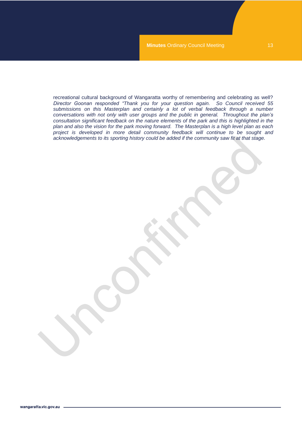recreational cultural background of Wangaratta worthy of remembering and celebrating as well? *Director Goonan responded "Thank you for your question again. So Council received 55 submissions on this Masterplan and certainly a lot of verbal feedback through a number conversations with not only with user groups and the public in general. Throughout the plan's consultation significant feedback on the nature elements of the park and this is highlighted in the plan and also the vision for the park moving forward. The Masterplan is a high level plan as each project is developed in more detail community feedback will continue to be sought and acknowledgements to its sporting history could be added if the community saw fit at that stage.*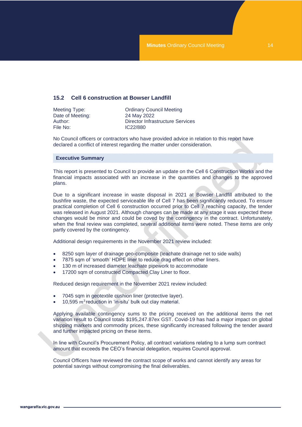#### <span id="page-13-0"></span>**15.2 Cell 6 construction at Bowser Landfill**

| Meeting Type:    | <b>Ordinary Council Meeting</b>         |
|------------------|-----------------------------------------|
| Date of Meeting: | 24 May 2022                             |
| Author: .        | <b>Director Infrastructure Services</b> |
| File No:         | IC22/880                                |
|                  |                                         |

No Council officers or contractors who have provided advice in relation to this report have declared a conflict of interest regarding the matter under consideration.

#### **Executive Summary**

This report is presented to Council to provide an update on the Cell 6 Construction Works and the financial impacts associated with an increase in the quantities and changes to the approved plans.

Due to a significant increase in waste disposal in 2021 at Bowser Landfill attributed to the bushfire waste, the expected serviceable life of Cell 7 has been significantly reduced. To ensure practical completion of Cell 6 construction occurred prior to Cell 7 reaching capacity, the tender was released in August 2021. Although changes can be made at any stage it was expected these changes would be minor and could be coved by the contingency in the contract. Unfortunately, when the final review was completed, several additional items were noted. These items are only partly covered by the contingency.

Additional design requirements in the November 2021 review included:

- 8250 sqm layer of drainage geo-composite (leachate drainage net to side walls)
- 7875 sqm of 'smooth' HDPE liner to reduce drag effect on other liners.
- 130 m of increased diameter leachate pipework to accommodate
- 17200 sqm of constructed Compacted Clay Liner to floor.

Reduced design requirement in the November 2021 review included:

- 7045 sqm in geotextile cushion liner (protective layer).
- 10,595  $m^3$  reduction in 'in-situ' bulk out clay material.

Applying available contingency sums to the pricing received on the additional items the net variation result to Council totals \$195,247.87ex GST. Covid-19 has had a major impact on global shipping markets and commodity prices, these significantly increased following the tender award and further impacted pricing on these items.

In line with Council's Procurement Policy, all contract variations relating to a lump sum contract amount that exceeds the CEO's financial delegation, requires Council approval.

Council Officers have reviewed the contract scope of works and cannot identify any areas for potential savings without compromising the final deliverables.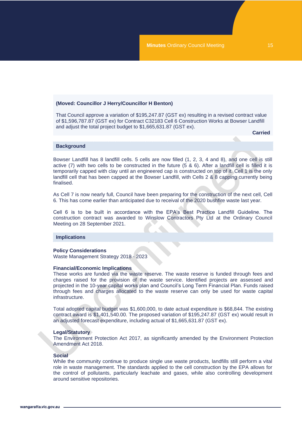#### **(Moved: Councillor J Herry/Councillor H Benton)**

That Council approve a variation of \$195,247.87 (GST ex) resulting in a revised contract value of \$1,596,787.87 (GST ex) for Contract C32183 Cell 6 Construction Works at Bowser Landfill and adjust the total project budget to \$1,665,631.87 (GST ex).

**Carried**

#### **Background**

Bowser Landfill has 8 landfill cells. 5 cells are now filled (1, 2, 3, 4 and 8), and one cell is still active (7) with two cells to be constructed in the future (5 & 6). After a landfill cell is filled it is temporarily capped with clay until an engineered cap is constructed on top of it. Cell 1 is the only landfill cell that has been capped at the Bowser Landfill, with Cells 2 & 8 capping currently being finalised.

As Cell 7 is now nearly full, Council have been preparing for the construction of the next cell, Cell 6. This has come earlier than anticipated due to receival of the 2020 bushfire waste last year.

Cell 6 is to be built in accordance with the EPA's Best Practice Landfill Guideline. The construction contract was awarded to Winslow Contractors Pty Ltd at the Ordinary Council Meeting on 28 September 2021.

#### **Implications**

#### **Policy Considerations**

Waste Management Strategy 2018 - 2023

#### **Financial/Economic Implications**

These works are funded via the waste reserve. The waste reserve is funded through fees and charges raised for the provision of the waste service. Identified projects are assessed and projected in the 10-year capital works plan and Council's Long Term Financial Plan. Funds raised through fees and charges allocated to the waste reserve can only be used for waste capital infrastructure.

Total adopted capital budget was \$1,600,000, to date actual expenditure is \$68,844. The existing contract award is \$1,401,540.00. The proposed variation of \$195,247.87 (GST ex) would result in an adjusted forecast expenditure, including actual of \$1,665,631.87 (GST ex).

#### **Legal/Statutory**

The Environment Protection Act 2017, as significantly amended by the Environment Protection Amendment Act 2018.

#### **Social**

While the community continue to produce single use waste products, landfills still perform a vital role in waste management. The standards applied to the cell construction by the EPA allows for the control of pollutants, particularly leachate and gases, while also controlling development around sensitive repositories.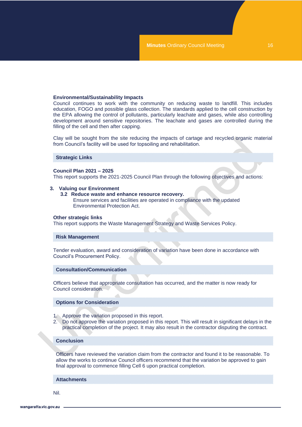#### **Environmental/Sustainability Impacts**

Council continues to work with the community on reducing waste to landfill. This includes education, FOGO and possible glass collection. The standards applied to the cell construction by the EPA allowing the control of pollutants, particularly leachate and gases, while also controlling development around sensitive repositories. The leachate and gases are controlled during the filling of the cell and then after capping.

Clay will be sought from the site reducing the impacts of cartage and recycled organic material from Council's facility will be used for topsoiling and rehabilitation.

#### **Strategic Links**

#### **Council Plan 2021 – 2025**

This report supports the 2021-2025 Council Plan through the following objectives and actions:

#### **3. Valuing our Environment**

**3.2 Reduce waste and enhance resource recovery.** 

Ensure services and facilities are operated in compliance with the updated Environmental Protection Act.

#### **Other strategic links**

This report supports the Waste Management Strategy and Waste Services Policy.

#### **Risk Management**

Tender evaluation, award and consideration of variation have been done in accordance with Council's Procurement Policy.

#### **Consultation/Communication**

Officers believe that appropriate consultation has occurred, and the matter is now ready for Council consideration.

#### **Options for Consideration**

- 1. Approve the variation proposed in this report.
- 2. Do not approve the variation proposed in this report. This will result in significant delays in the practical completion of the project. It may also result in the contractor disputing the contract.

#### **Conclusion**

Officers have reviewed the variation claim from the contractor and found it to be reasonable. To allow the works to continue Council officers recommend that the variation be approved to gain final approval to commence filling Cell 6 upon practical completion.

#### **Attachments**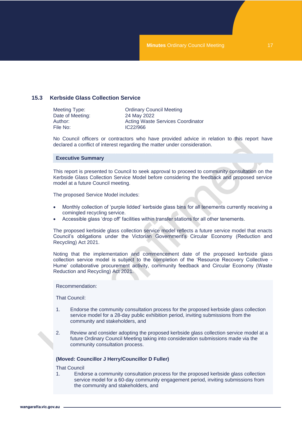#### <span id="page-16-0"></span>**15.3 Kerbside Glass Collection Service**

| <b>Ordinary Council Meeting</b>          |
|------------------------------------------|
| 24 May 2022                              |
| <b>Acting Waste Services Coordinator</b> |
| IC22/966                                 |
|                                          |

No Council officers or contractors who have provided advice in relation to this report have declared a conflict of interest regarding the matter under consideration.

#### **Executive Summary**

This report is presented to Council to seek approval to proceed to community consultation on the Kerbside Glass Collection Service Model before considering the feedback and proposed service model at a future Council meeting.

The proposed Service Model includes:

- Monthly collection of 'purple lidded' kerbside glass bins for all tenements currently receiving a comingled recycling service.
- Accessible glass 'drop off' facilities within transfer stations for all other tenements.

The proposed kerbside glass collection service model reflects a future service model that enacts Council's obligations under the Victorian Government's Circular Economy (Reduction and Recycling) Act 2021.

Noting that the implementation and commencement date of the proposed kerbside glass collection service model is subject to the completion of the 'Resource Recovery Collective - Hume' collaborative procurement activity, community feedback and Circular Economy (Waste Reduction and Recycling) Act 2021.

Recommendation:

That Council:

- 1. Endorse the community consultation process for the proposed kerbside glass collection service model for a 28-day public exhibition period, inviting submissions from the community and stakeholders, and
- 2. Review and consider adopting the proposed kerbside glass collection service model at a future Ordinary Council Meeting taking into consideration submissions made via the community consultation process.

#### **(Moved: Councillor J Herry/Councillor D Fuller)**

That Council

1. Endorse a community consultation process for the proposed kerbside glass collection service model for a 60-day community engagement period, inviting submissions from the community and stakeholders, and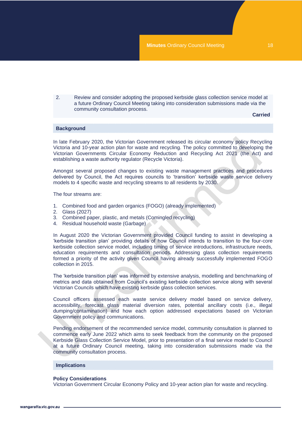2. Review and consider adopting the proposed kerbside glass collection service model at a future Ordinary Council Meeting taking into consideration submissions made via the community consultation process.

**Carried**

#### **Background**

In late February 2020, the Victorian Government released its circular economy policy Recycling Victoria and 10-year action plan for waste and recycling. The policy committed to developing the Victorian Governments Circular Economy Reduction and Recycling Act 2021 (the Act) and establishing a waste authority regulator (Recycle Victoria).

Amongst several proposed changes to existing waste management practices and procedures delivered by Council, the Act requires councils to 'transition' kerbside waste service delivery models to 4 specific waste and recycling streams to all residents by 2030.

The four streams are:

- 1. Combined food and garden organics (FOGO) (already implemented)
- 2. Glass (2027)
- 3. Combined paper, plastic, and metals (Comingled recycling)
- 4. Residual household waste (Garbage)

In August 2020 the Victorian Government provided Council funding to assist in developing a 'kerbside transition plan' providing details of how Council intends to transition to the four-core kerbside collection service model, including timing of service introductions, infrastructure needs, education requirements and consultation periods. Addressing glass collection requirements formed a priority of the activity given Council having already successfully implemented FOGO collection in 2015.

The 'kerbside transition plan' was informed by extensive analysis, modelling and benchmarking of metrics and data obtained from Council's existing kerbside collection service along with several Victorian Councils which have existing kerbside glass collection services.

Council officers assessed each waste service delivery model based on service delivery, accessibility, forecast glass material diversion rates, potential ancillary costs (i.e., illegal dumping/contamination) and how each option addressed expectations based on Victorian Government policy and communications.

Pending endorsement of the recommended service model, community consultation is planned to commence early June 2022 which aims to seek feedback from the community on the proposed Kerbside Glass Collection Service Model, prior to presentation of a final service model to Council at a future Ordinary Council meeting, taking into consideration submissions made via the community consultation process.

#### **Implications**

#### **Policy Considerations**

Victorian Government Circular Economy Policy and 10-year action plan for waste and recycling.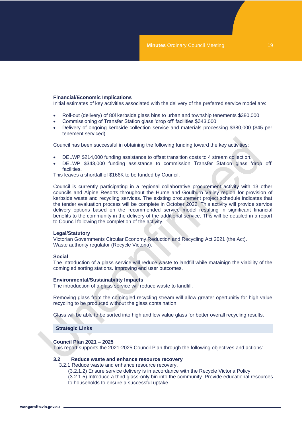#### **Financial/Economic Implications**

Initial estimates of key activities associated with the delivery of the preferred service model are:

- Roll-out (delivery) of 80l kerbside glass bins to urban and township tenements \$380,000
- Commissioning of Transfer Station glass 'drop off' facilities \$343,000
- Delivery of ongoing kerbside collection service and materials processing \$380,000 (\$45 per tenement serviced)

Council has been successful in obtaining the following funding toward the key activities:

- DELWP \$214,000 funding assistance to offset transition costs to 4 stream collection.
- DELWP \$343,000 funding assistance to commission Transfer Station glass 'drop off' facilities.

This leaves a shortfall of \$166K to be funded by Council.

Council is currently participating in a regional collaborative procurement activity with 13 other councils and Alpine Resorts throughout the Hume and Goulburn Valley region for provision of kerbside waste and recycling services. The existing procurement project schedule indicates that the tender evaluation process will be complete in October 2022. This activity will provide service delivery options based on the recommended service model resulting in significant financial benefits to the community in the delivery of the additional service. This will be detailed in a report to Council following the completion of the activity.

#### **Legal/Statutory**

Victorian Governments Circular Economy Reduction and Recycling Act 2021 (the Act). Waste authority regulator (Recycle Victoria).

#### **Social**

The introduction of a glass service will reduce waste to landfill while matainign the viability of the comingled sorting stations. Improving end user outcomes.

#### **Environmental/Sustainability Impacts**

The introduction of a glass service will reduce waste to landfill.

Removing glass from the comingled recycling stream will allow greater opertunitiy for high value recycling to be produced without the glass containation.

Glass will be able to be sorted into high and low value glass for better overall recycling results.

#### **Strategic Links**

#### **Council Plan 2021 – 2025**

This report supports the 2021-2025 Council Plan through the following objectives and actions:

#### **3.2 Reduce waste and enhance resource recovery**

3.2.1 Reduce waste and enhance resource recovery.

- (3.2.1.2) Ensure service delivery is in accordance with the Recycle Victoria Policy
- (3.2.1.5) Introduce a third glass-only bin into the community. Provide educational resources to households to ensure a successful uptake.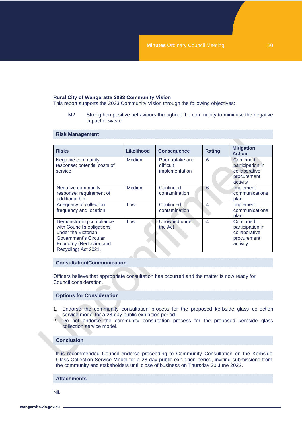#### **Rural City of Wangaratta 2033 Community Vision**

This report supports the 2033 Community Vision through the following objectives:

M2 Strengthen positive behaviours throughout the community to minimise the negative impact of waste

#### **Risk Management**

| <b>Risks</b>                                                                                                                                             | Likelihood    | <b>Consequence</b>                             | <b>Rating</b>  | <b>Mitigation</b><br><b>Action</b>                                        |
|----------------------------------------------------------------------------------------------------------------------------------------------------------|---------------|------------------------------------------------|----------------|---------------------------------------------------------------------------|
| Negative community<br>response: potential costs of<br>service                                                                                            | <b>Medium</b> | Poor uptake and<br>difficult<br>implementation | 6              | Continued<br>participation in<br>collaborative<br>procurement<br>activity |
| Negative community<br>response: requirement of<br>additional bin                                                                                         | <b>Medium</b> | Continued<br>contamination                     | 6              | Implement<br>communications<br>plan                                       |
| Adequacy of collection<br>frequency and location                                                                                                         | Low           | Continued<br>contamination                     | 4              | Implement<br>communications<br>plan                                       |
| Demonstrating compliance<br>with Council's obligations<br>under the Victorian<br>Government's Circular<br>Economy (Reduction and<br>Recycling) Act 2021. | Low           | Unowned under<br>the Act                       | $\overline{4}$ | Continued<br>participation in<br>collaborative<br>procurement<br>activity |

#### **Consultation/Communication**

Officers believe that appropriate consultation has occurred and the matter is now ready for Council consideration.

#### **Options for Consideration**

- 1. Endorse the community consultation process for the proposed kerbside glass collection service model for a 28-day public exhibition period.
- 2. Do not endorse the community consultation process for the proposed kerbside glass collection service model.

#### **Conclusion**

It is recommended Council endorse proceeding to Community Consultation on the Kerbside Glass Collection Service Model for a 28-day public exhibition period, inviting submissions from the community and stakeholders until close of business on Thursday 30 June 2022.

#### **Attachments**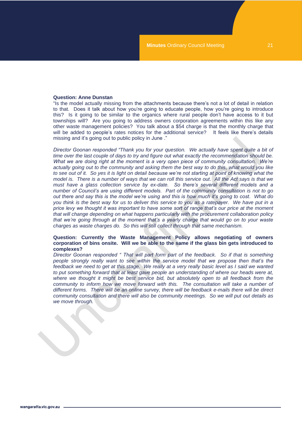#### **Question: Anne Dunstan**

"Is the model actually missing from the attachments because there's not a lot of detail in relation to that. Does it talk about how you're going to educate people, how you're going to introduce this? Is it going to be similar to the organics where rural people don't have access to it but townships will? Are you going to address owners corporation agreements within this like any other waste management policies? You talk about a \$54 charge is that the monthly charge that will be added to people's rates notices for the additional service? It feels like there's details missing and it's going out to public policy in June ."

*Director Goonan responded "Thank you for your question. We actually have spent quite a bit of time over the last couple of days to try and figure out what exactly the recommendation should be. What we are doing right at the moment is a very open piece of community consultation. We're actually going out to the community and asking them the best way to do this, what would you like to see out of it. So yes it is light on detail because we're not starting at point of knowing what the model is. There is a number of ways that we can roll this service out. All the Act says is that we must have a glass collection service by ex-date. So there's several different models and a number of Council's are using different models. Part of the community consultation is not to go out there and say this is the model we're using and this is how much it's going to cost. What do you think is the best way for us to deliver this service to you as a ratepayer. We have put in a price levy we thought it was important to have some sort of range that's our price at the moment that will change depending on what happens particularly with the procurement collaboration policy that we're going through at the moment that's a yearly charge that would go on to your waste charges as waste charges do. So this will still collect through that same mechanism.*

#### **Question: Currently the Waste Management Policy allows negotiating of owners corporation of bins onsite. Will we be able to the same if the glass bin gets introduced to complexes?**

*Director Goonan responded " That will part form part of the feedback. So if that is something people strongly really want to see within the service model that we propose then that's the feedback we need to get at this stage. We really at a very really basic level as I said we wanted to put something forward that at least gave people an understanding of where our heads were at,*  where we thought it might be best service bid, but absolutely open to all feedback from the *community to inform how we move forward with this. The consultation will take a number of different forms. There will be an online survey, there will be feedback e-mails there will be direct community consultation and there will also be community meetings. So we will put out details as we move through.*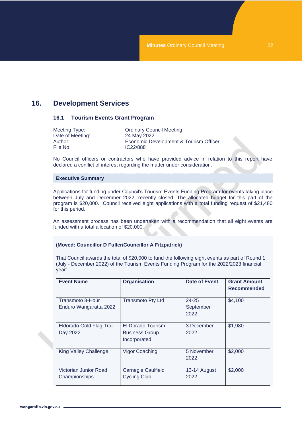# <span id="page-21-1"></span><span id="page-21-0"></span>**16. Development Services**

#### **16.1 Tourism Events Grant Program**

| Meeting Type:    | <b>Ordinary Council Meeting</b>        |
|------------------|----------------------------------------|
| Date of Meeting: | 24 May 2022                            |
| Author: .        | Economic Development & Tourism Officer |
| File No:         | IC22/888                               |

No Council officers or contractors who have provided advice in relation to this report have declared a conflict of interest regarding the matter under consideration.

#### **Executive Summary**

Applications for funding under Council's Tourism Events Funding Program for events taking place between July and December 2022, recently closed. The allocated budget for this part of the program is \$20,000. Council received eight applications with a total funding request of \$21,480 for this period.

An assessment process has been undertaken with a recommendation that all eight events are funded with a total allocation of \$20,000.

#### **(Moved: Councillor D Fuller/Councillor A Fitzpatrick)**

That Council awards the total of \$20,000 to fund the following eight events as part of Round 1 (July - December 2022) of the Tourism Events Funding Program for the 2022/2023 financial year:

| <b>Event Name</b>                                 | <b>Organisation</b>                                        | Date of Event                  | <b>Grant Amount</b><br><b>Recommended</b> |
|---------------------------------------------------|------------------------------------------------------------|--------------------------------|-------------------------------------------|
| <b>Transmoto 8-Hour</b><br>Enduro Wangaratta 2022 | <b>Transmoto Pty Ltd</b>                                   | $24 - 25$<br>September<br>2022 | \$4,100                                   |
| Eldorado Gold Flag Trail<br>Day 2022              | El Dorado Tourism<br><b>Business Group</b><br>Incorporated | 3 December<br>2022             | \$1,980                                   |
| <b>King Valley Challenge</b>                      | <b>Vigor Coaching</b>                                      | 5 November<br>2022             | \$2,000                                   |
| Victorian Junior Road<br>Championships            | <b>Carnegie Caulfield</b><br><b>Cycling Club</b>           | 13-14 August<br>2022           | \$2,000                                   |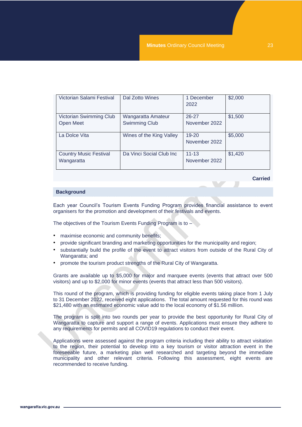| Victorian Salami Festival                   | Dal Zotto Wines                            | 1 December<br>2022         | \$2,000 |
|---------------------------------------------|--------------------------------------------|----------------------------|---------|
| Victorian Swimming Club<br>Open Meet        | Wangaratta Amateur<br><b>Swimming Club</b> | $26 - 27$<br>November 2022 | \$1,500 |
| La Dolce Vita                               | Wines of the King Valley                   | 19-20<br>November 2022     | \$5,000 |
| <b>Country Music Festival</b><br>Wangaratta | Da Vinci Social Club Inc                   | $11 - 13$<br>November 2022 | \$1,420 |

**Carried**

#### **Background**

Each year Council's Tourism Events Funding Program provides financial assistance to event organisers for the promotion and development of their festivals and events.

The objectives of the Tourism Events Funding Program is to  $-\sqrt{ }$ 

- maximise economic and community benefits;
- provide significant branding and marketing opportunities for the municipality and region;
- substantially build the profile of the event to attract visitors from outside of the Rural City of Wangaratta; and
- promote the tourism product strengths of the Rural City of Wangaratta.

Grants are available up to \$5,000 for major and marquee events (events that attract over 500 visitors) and up to \$2,000 for minor events (events that attract less than 500 visitors).

This round of the program, which is providing funding for eligible events taking place from 1 July to 31 December 2022, received eight applications. The total amount requested for this round was \$21,480 with an estimated economic value add to the local economy of \$1.56 million.

The program is split into two rounds per year to provide the best opportunity for Rural City of Wangaratta to capture and support a range of events. Applications must ensure they adhere to any requirements for permits and all COVID19 regulations to conduct their event.

Applications were assessed against the program criteria including their ability to attract visitation to the region, their potential to develop into a key tourism or visitor attraction event in the foreseeable future, a marketing plan well researched and targeting beyond the immediate municipality and other relevant criteria. Following this assessment, eight events are recommended to receive funding.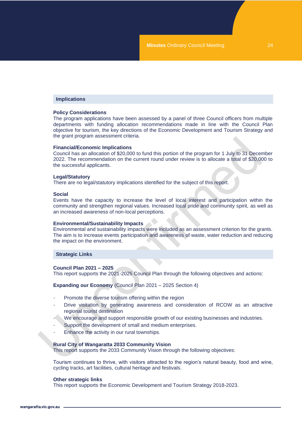#### **Implications**

#### **Policy Considerations**

The program applications have been assessed by a panel of three Council officers from multiple departments with funding allocation recommendations made in line with the Council Plan objective for tourism, the key directions of the Economic Development and Tourism Strategy and the grant program assessment criteria.

#### **Financial/Economic Implications**

Council has an allocation of \$20,000 to fund this portion of the program for 1 July to 31 December 2022. The recommendation on the current round under review is to allocate a total of \$20,000 to the successful applicants.

#### **Legal/Statutory**

There are no legal/statutory implications identified for the subject of this report.

#### **Social**

Events have the capacity to increase the level of local interest and participation within the community and strengthen regional values. Increased local pride and community spirit, as well as an increased awareness of non-local perceptions.

#### **Environmental/Sustainability Impacts**

Environmental and sustainability impacts were included as an assessment criterion for the grants. The aim is to increase events participation and awareness of waste, water reduction and reducing the impact on the environment.

#### **Strategic Links**

#### **Council Plan 2021 – 2025**

This report supports the 2021-2025 Council Plan through the following objectives and actions:

**Expanding our Economy** (Council Plan 2021 – 2025 Section 4)

- Promote the diverse tourism offering within the region
- Drive visitation by generating awareness and consideration of RCOW as an attractive regional tourist destination
- We encourage and support responsible growth of our existing businesses and industries.
- Support the development of small and medium enterprises.
- Enhance the activity in our rural townships.

#### **Rural City of Wangaratta 2033 Community Vision**

This report supports the 2033 Community Vision through the following objectives:

Tourism continues to thrive, with visitors attracted to the region's natural beauty, food and wine, cycling tracks, art facilities, cultural heritage and festivals.

#### **Other strategic links**

This report supports the Economic Development and Tourism Strategy 2018-2023.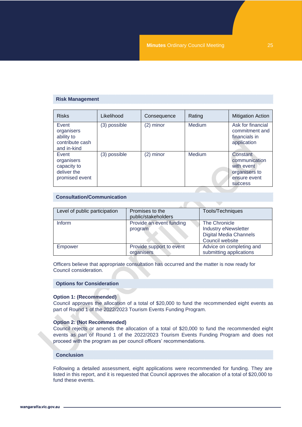#### **Risk Management**

| <b>Risks</b>                                                        | Likelihood   | Consequence | Rating        | <b>Mitigation Action</b>                                                                   |
|---------------------------------------------------------------------|--------------|-------------|---------------|--------------------------------------------------------------------------------------------|
| Event<br>organisers<br>ability to<br>contribute cash<br>and in-kind | (3) possible | $(2)$ minor | <b>Medium</b> | Ask for financial<br>commitment and<br>financials in<br>application                        |
| Event<br>organisers<br>capacity to<br>deliver the<br>promised event | (3) possible | (2) minor   | <b>Medium</b> | Constant<br>communication<br>with event<br>organisers to<br>ensure event<br><b>SUCCESS</b> |

#### **Consultation/Communication**

| Level of public participation | Promises to the<br>public/stakeholders | Tools/Techniques                                                                                 |
|-------------------------------|----------------------------------------|--------------------------------------------------------------------------------------------------|
| Inform                        | Provide an event funding<br>program    | The Chronicle<br><b>Industry eNewsletter</b><br><b>Digital Media Channels</b><br>Council website |
| Empower                       | Provide support to event<br>organisers | Advice on completing and<br>submitting applications                                              |

Officers believe that appropriate consultation has occurred and the matter is now ready for Council consideration.

#### **Options for Consideration**

#### **Option 1: (Recommended)**

Council approves the allocation of a total of \$20,000 to fund the recommended eight events as part of Round 1 of the 2022/2023 Tourism Events Funding Program.

#### **Option 2: (Not Recommended)**

Council rejects or amends the allocation of a total of \$20,000 to fund the recommended eight events as part of Round 1 of the 2022/2023 Tourism Events Funding Program and does not proceed with the program as per council officers' recommendations.

#### **Conclusion**

Following a detailed assessment, eight applications were recommended for funding. They are listed in this report, and it is requested that Council approves the allocation of a total of \$20,000 to fund these events.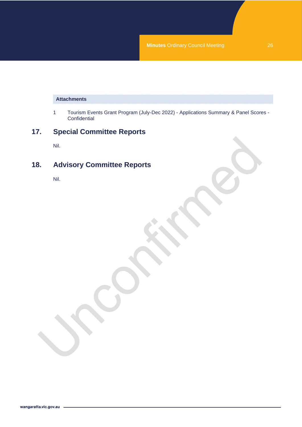## **Attachments**

1 Tourism Events Grant Program (July-Dec 2022) - Applications Summary & Panel Scores - **Confidential** 

# <span id="page-25-0"></span>**17. Special Committee Reports**

Nil.

# <span id="page-25-1"></span>**18. Advisory Committee Reports**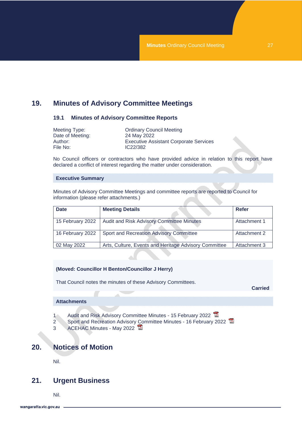# <span id="page-26-1"></span><span id="page-26-0"></span>**19. Minutes of Advisory Committee Meetings**

#### **19.1 Minutes of Advisory Committee Reports**

| Meeting Type:    | <b>Ordinary Council Meeting</b>               |
|------------------|-----------------------------------------------|
| Date of Meeting: | 24 May 2022                                   |
| Author: .        | <b>Executive Assistant Corporate Services</b> |
| File No:         | IC22/382                                      |

No Council officers or contractors who have provided advice in relation to this report have declared a conflict of interest regarding the matter under consideration.

#### **Executive Summary**

Minutes of Advisory Committee Meetings and committee reports are reported to Council for information (please refer attachments.)

| <b>Date</b>      | <b>Meeting Details</b>                                | Refer        |
|------------------|-------------------------------------------------------|--------------|
| 15 February 2022 | Audit and Risk Advisory Committee Minutes             | Attachment 1 |
| 16 February 2022 | Sport and Recreation Advisory Committee               | Attachment 2 |
| 02 May 2022      | Arts, Culture, Events and Heritage Advisory Committee | Attachment 3 |

#### **(Moved: Councillor H Benton/Councillor J Herry)**

That Council notes the minutes of these Advisory Committees.

**Carried**

#### **Attachments**

- 1 Audit and Risk Advisory Committee Minutes 15 February 2022
- 2 Sport and Recreation Advisory [Co](CO_24052022_MIN_2687_files/CO_24052022_MIN_2687_Attachment_23092_3.PDF)mmittee Minutes 16 February 2022
- 3 ACEHAC Minutes May 2022

# <span id="page-26-2"></span>**20. Notices of Motion**

Nil.

# <span id="page-26-3"></span>**21. Urgent Business**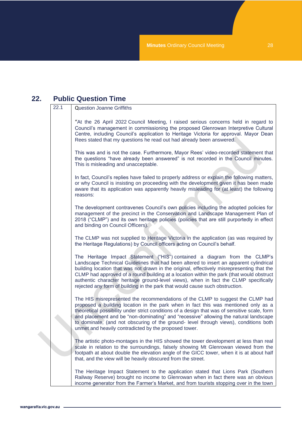# <span id="page-27-0"></span>**22. Public Question Time**

| 22.1 | <b>Question Joanne Griffiths</b>                                                                                                                                                                                                                                                                                                                                                                                                                                                                                                      |
|------|---------------------------------------------------------------------------------------------------------------------------------------------------------------------------------------------------------------------------------------------------------------------------------------------------------------------------------------------------------------------------------------------------------------------------------------------------------------------------------------------------------------------------------------|
|      | "At the 26 April 2022 Council Meeting, I raised serious concerns held in regard to<br>Council's management in commissioning the proposed Glenrowan Interpretive Cultural<br>Centre, including Council's application to Heritage Victoria for approval. Mayor Dean<br>Rees stated that my questions he read out had already been answered.                                                                                                                                                                                             |
|      | This was and is not the case. Furthermore, Mayor Rees' video-recorded statement that<br>the questions "have already been answered" is not recorded in the Council minutes.<br>This is misleading and unacceptable.                                                                                                                                                                                                                                                                                                                    |
|      | In fact, Council's replies have failed to properly address or explain the following matters,<br>or why Council is insisting on proceeding with the development given it has been made<br>aware that its application was apparently heavily misleading for (at least) the following<br>reasons:                                                                                                                                                                                                                                        |
|      | The development contravenes Council's own policies including the adopted policies for<br>management of the precinct in the Conservation and Landscape Management Plan of<br>2018 ("CLMP") and its own heritage policies (policies that are still purportedly in effect<br>and binding on Council Officers).                                                                                                                                                                                                                           |
|      | The CLMP was not supplied to Heritage Victoria in the application (as was required by<br>the Heritage Regulations) by Council officers acting on Council's behalf.                                                                                                                                                                                                                                                                                                                                                                    |
|      | The Heritage Impact Statement ("HIS") contained a diagram from the CLMP's<br>Landscape Technical Guidelines that had been altered to insert an apparent cylindrical<br>building location that was not drawn in the original, effectively misrepresenting that the<br>CLMP had approved of a round building at a location within the park (that would obstruct<br>authentic character heritage ground-level views), when in fact the CLMP specifically<br>rejected any form of building in the park that would cause such obstruction. |
|      | The HIS misrepresented the recommendations of the CLMP to suggest the CLMP had<br>proposed a building location in the park when in fact this was mentioned only as a<br>theoretical possibility under strict conditions of a design that was of sensitive scale, form<br>and placement and be "non-dominating" and "recessive" allowing the natural landscape<br>to dominate, (and not obscuring of the ground- level through views), conditions both<br>unmet and heavily contradicted by the proposed tower.                        |
|      | The artistic photo-montages in the HIS showed the tower development at less than real<br>scale in relation to the surroundings, falsely showing Mt Glenrowan viewed from the<br>footpath at about double the elevation angle of the GICC tower, when it is at about half<br>that, and the view will be heavily obscured from the street.                                                                                                                                                                                              |
|      | The Heritage Impact Statement to the application stated that Lions Park (Southern<br>Railway Reserve) brought no income to Glenrowan when in fact there was an obvious<br>income generator from the Farmer's Market, and from tourists stopping over in the town                                                                                                                                                                                                                                                                      |